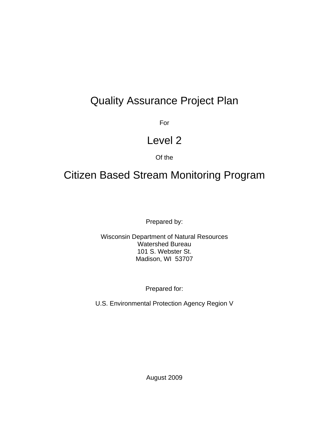# Quality Assurance Project Plan

**Formal Contract of the State State State State State State State State State State State State State State State** 

# Level 2

# Of the

# Citizen Based Stream Monitoring Program

Prepared by:

Wisconsin Department of Natural Resources Watershed Bureau 101 S. Webster St. Madison, WI 53707

Prepared for:

U.S. Environmental Protection Agency Region V

August 2009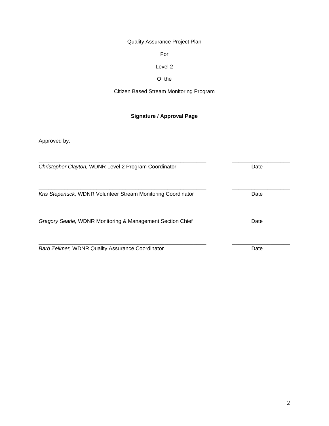Quality Assurance Project Plan

For

# Level 2

# Of the

# Citizen Based Stream Monitoring Program

# **Signature / Approval Page**

Approved by:

| Christopher Clayton, WDNR Level 2 Program Coordinator        | Date |  |
|--------------------------------------------------------------|------|--|
| Kris Stepenuck, WDNR Volunteer Stream Monitoring Coordinator | Date |  |
| Gregory Searle, WDNR Monitoring & Management Section Chief   | Date |  |
| <b>Barb Zellmer, WDNR Quality Assurance Coordinator</b>      | Date |  |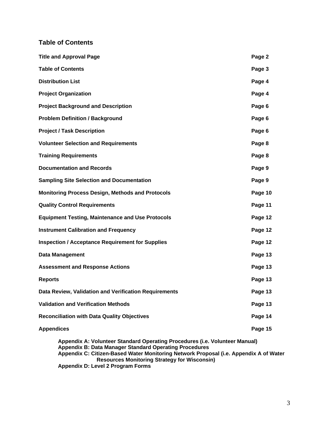# **Table of Contents**

| <b>Title and Approval Page</b>                          | Page 2  |
|---------------------------------------------------------|---------|
| <b>Table of Contents</b>                                | Page 3  |
| <b>Distribution List</b>                                | Page 4  |
| <b>Project Organization</b>                             | Page 4  |
| <b>Project Background and Description</b>               | Page 6  |
| <b>Problem Definition / Background</b>                  | Page 6  |
| <b>Project / Task Description</b>                       | Page 6  |
| <b>Volunteer Selection and Requirements</b>             | Page 8  |
| <b>Training Requirements</b>                            | Page 8  |
| <b>Documentation and Records</b>                        | Page 9  |
| <b>Sampling Site Selection and Documentation</b>        | Page 9  |
| <b>Monitoring Process Design, Methods and Protocols</b> | Page 10 |
| <b>Quality Control Requirements</b>                     | Page 11 |
| <b>Equipment Testing, Maintenance and Use Protocols</b> | Page 12 |
| <b>Instrument Calibration and Frequency</b>             | Page 12 |
| <b>Inspection / Acceptance Requirement for Supplies</b> | Page 12 |
| <b>Data Management</b>                                  | Page 13 |
| <b>Assessment and Response Actions</b>                  | Page 13 |
| <b>Reports</b>                                          | Page 13 |
| Data Review, Validation and Verification Requirements   | Page 13 |
| <b>Validation and Verification Methods</b>              | Page 13 |
| <b>Reconciliation with Data Quality Objectives</b>      | Page 14 |
| <b>Appendices</b>                                       | Page 15 |
|                                                         |         |

**Appendix A: Volunteer Standard Operating Procedures (i.e. Volunteer Manual) Appendix B: Data Manager Standard Operating Procedures Appendix C: Citizen-Based Water Monitoring Network Proposal (i.e. Appendix A of Water Resources Monitoring Strategy for Wisconsin) Appendix D: Level 2 Program Forms**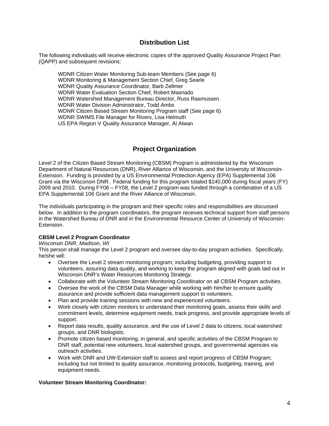# **Distribution List**

The following individuals will receive electronic copies of the approved Quality Assurance Project Plan (QAPP) and subsequent revisions:

 WDNR Citizen Water Monitoring Sub-team Members (See page 6) WDNR Monitoring & Management Section Chief, Greg Searle WDNR Quality Assurance Coordinator, Barb Zellmer WDNR Water Evaluation Section Chief, Robert Masnado WDNR Watershed Management Bureau Director, Russ Rasmussen WDNR Water Division Administrator, Todd Ambs WDNR Citizen Based Stream Monitoring Program staff (See page 6) WDNR SWIMS File Manager for Rivers, Lisa Helmuth US EPA Region V Quality Assurance Manager, Al Alwan

# **Project Organization**

Level 2 of the Citizen Based Stream Monitoring (CBSM) Program is administered by the Wisconsin Department of Natural Resources (DNR), River Alliance of Wisconsin, and the University of Wisconsin-Extension. Funding is provided by a US Environmental Protection Agency (EPA) Supplemental 106 Grant via the Wisconsin DNR. Federal funding for this program totaled \$140,000 during fiscal years (FY) 2009 and 2010. During FY06 – FY08, the Level 2 program was funded through a combination of a US EPA Supplemental 106 Grant and the River Alliance of Wisconsin.

The individuals participating in the program and their specific roles and responsibilities are discussed below. In addition to the program coordinators, the program receives technical support from staff persons in the Watershed Bureau of DNR and in the Environmental Resource Center of University of Wisconsin-Extension.

#### **CBSM Level 2 Program Coordinator**

#### *Wisconsin DNR, Madison, WI*

This person shall manage the Level 2 program and oversee day-to-day program activities. Specifically, he/she will:

- Oversee the Level 2 stream monitoring program; including budgeting, providing support to volunteers, assuring data quality, and working to keep the program aligned with goals laid out in Wisconsin DNR's Water Resources Monitoring Strategy.
- Collaborate with the Volunteer Stream Monitoring Coordinator on all CBSM Program activities.
- Oversee the work of the CBSM Data Manager while working with him/her to ensure quality assurance and provide sufficient data management support to volunteers.
- Plan and provide training sessions with new and experienced volunteers.
- Work closely with citizen monitors to understand their monitoring goals, assess their skills and commitment levels, determine equipment needs, track progress, and provide appropriate levels of support.
- Report data results, quality assurance, and the use of Level 2 data to citizens, local watershed groups, and DNR biologists.
- Promote citizen based monitoring, in general, and specific activities of the CBSM Program to DNR staff, potential new volunteers, local watershed groups, and governmental agencies via outreach activities.
- Work with DNR and UW-Extension staff to assess and report progress of CBSM Program; including but not limited to quality assurance, monitoring protocols, budgeting, training, and equipment needs.

#### **Volunteer Stream Monitoring Coordinator:**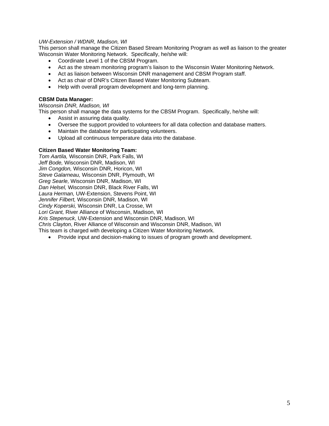#### *UW-Extension / WDNR, Madison, WI*

This person shall manage the Citizen Based Stream Monitoring Program as well as liaison to the greater Wisconsin Water Monitoring Network. Specifically, he/she will:

- Coordinate Level 1 of the CBSM Program.
- Act as the stream monitoring program's liaison to the Wisconsin Water Monitoring Network.
- Act as liaison between Wisconsin DNR management and CBSM Program staff.
- Act as chair of DNR's Citizen Based Water Monitoring Subteam.
- Help with overall program development and long-term planning.

#### **CBSM Data Manager:**

*Wisconsin DNR, Madison, WI* 

This person shall manage the data systems for the CBSM Program. Specifically, he/she will:

- Assist in assuring data quality.
- Oversee the support provided to volunteers for all data collection and database matters.
- Maintain the database for participating volunteers.
- Upload all continuous temperature data into the database.

#### **Citizen Based Water Monitoring Team:**

*Tom Aartila,* Wisconsin DNR, Park Falls, WI *Jeff Bode,* Wisconsin DNR, Madison, WI *Jim Congdon,* Wisconsin DNR, Horicon, WI *Steve Galarneau,* Wisconsin DNR, Plymouth, WI *Greg Searle,* Wisconsin DNR, Madison, WI *Dan Helsel,* Wisconsin DNR, Black River Falls, WI *Laura Herman,* UW-Extension, Stevens Point, WI *Jennifer Filbert,* Wisconsin DNR, Madison, WI *Cindy Koperski,* Wisconsin DNR, La Crosse, WI *Lori Grant,* River Alliance of Wisconsin, Madison, WI *Kris Stepenuck*, UW-Extension and Wisconsin DNR, Madison, WI *Chris Clayton*, River Alliance of Wisconsin and Wisconsin DNR, Madison, WI This team is charged with developing a Citizen Water Monitoring Network.

• Provide input and decision-making to issues of program growth and development.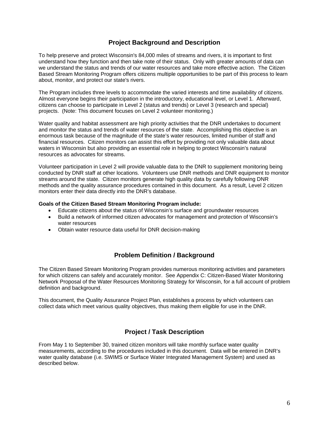# **Project Background and Description**

To help preserve and protect Wisconsin's 84,000 miles of streams and rivers, it is important to first understand how they function and then take note of their status. Only with greater amounts of data can we understand the status and trends of our water resources and take more effective action. The Citizen Based Stream Monitoring Program offers citizens multiple opportunities to be part of this process to learn about, monitor, and protect our state's rivers.

The Program includes three levels to accommodate the varied interests and time availability of citizens. Almost everyone begins their participation in the introductory, educational level, or Level 1. Afterward, citizens can choose to participate in Level 2 (status and trends) or Level 3 (research and special) projects. (Note: This document focuses on Level 2 volunteer monitoring.)

Water quality and habitat assessment are high priority activities that the DNR undertakes to document and monitor the status and trends of water resources of the state. Accomplishing this objective is an enormous task because of the magnitude of the state's water resources, limited number of staff and financial resources. Citizen monitors can assist this effort by providing not only valuable data about waters in Wisconsin but also providing an essential role in helping to protect Wisconsin's natural resources as advocates for streams.

Volunteer participation in Level 2 will provide valuable data to the DNR to supplement monitoring being conducted by DNR staff at other locations. Volunteers use DNR methods and DNR equipment to monitor streams around the state. Citizen monitors generate high quality data by carefully following DNR methods and the quality assurance procedures contained in this document. As a result, Level 2 citizen monitors enter their data directly into the DNR's database.

#### **Goals of the Citizen Based Stream Monitoring Program include:**

- Educate citizens about the status of Wisconsin's surface and groundwater resources
- Build a network of informed citizen advocates for management and protection of Wisconsin's water resources
- Obtain water resource data useful for DNR decision-making

# **Problem Definition / Background**

The Citizen Based Stream Monitoring Program provides numerous monitoring activities and parameters for which citizens can safely and accurately monitor. See Appendix C: Citizen-Based Water Monitoring Network Proposal of the Water Resources Monitoring Strategy for Wisconsin, for a full account of problem definition and background.

This document, the Quality Assurance Project Plan, establishes a process by which volunteers can collect data which meet various quality objectives, thus making them eligible for use in the DNR.

# **Project / Task Description**

From May 1 to September 30, trained citizen monitors will take monthly surface water quality measurements, according to the procedures included in this document. Data will be entered in DNR's water quality database (i.e. SWIMS or Surface Water Integrated Management System) and used as described below.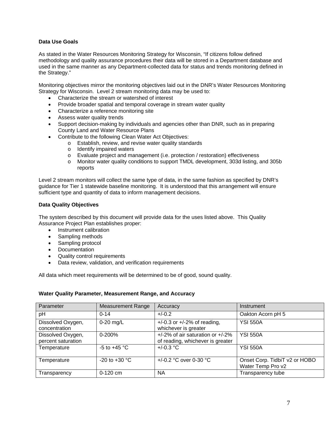#### **Data Use Goals**

As stated in the Water Resources Monitoring Strategy for Wisconsin, "If citizens follow defined methodology and quality assurance procedures their data will be stored in a Department database and used in the same manner as any Department-collected data for status and trends monitoring defined in the Strategy."

Monitoring objectives mirror the monitoring objectives laid out in the DNR's Water Resources Monitoring Strategy for Wisconsin. Level 2 stream monitoring data may be used to:

- Characterize the stream or watershed of interest
- Provide broader spatial and temporal coverage in stream water quality
- Characterize a reference monitoring site
- Assess water quality trends
- Support decision-making by individuals and agencies other than DNR, such as in preparing County Land and Water Resource Plans
- Contribute to the following Clean Water Act Objectives:
	- o Establish, review, and revise water quality standards
	- o Identify impaired waters<br>
	o Evaluate project and ma
	- Evaluate project and management (i.e. protection / restoration) effectiveness
	- o Monitor water quality conditions to support TMDL development, 303d listing, and 305b reports

Level 2 stream monitors will collect the same type of data, in the same fashion as specified by DNR's guidance for Tier 1 statewide baseline monitoring. It is understood that this arrangement will ensure sufficient type and quantity of data to inform management decisions.

#### **Data Quality Objectives**

The system described by this document will provide data for the uses listed above. This Quality Assurance Project Plan establishes proper:

- Instrument calibration
- Sampling methods
- Sampling protocol
- Documentation
- Quality control requirements
- Data review, validation, and verification requirements

All data which meet requirements will be determined to be of good, sound quality.

#### **Water Quality Parameter, Measurement Range, and Accuracy**

| Parameter                               | <b>Measurement Range</b> | Accuracy                                                                                 | Instrument                                         |
|-----------------------------------------|--------------------------|------------------------------------------------------------------------------------------|----------------------------------------------------|
| pH                                      | $0 - 14$                 | $+/-0.2$                                                                                 | Oakton Acorn pH 5                                  |
| Dissolved Oxygen,<br>concentration      | $0-20$ mg/L              | $+/-0.3$ or $+/-2%$ of reading,<br>whichever is greater                                  | <b>YSI 550A</b>                                    |
| Dissolved Oxygen,<br>percent saturation | 0-200%                   | $\frac{+}{2\%}$ of air saturation or $\frac{+}{2\%}$<br>of reading, whichever is greater | <b>YSI 550A</b>                                    |
| Temperature                             | -5 to $+45$ °C           | $+/-0.3 °C$                                                                              | <b>YSI 550A</b>                                    |
| Temperature                             | $-20$ to $+30$ °C        | +/-0.2 °C over 0-30 °C                                                                   | Onset Corp. TidbiT v2 or HOBO<br>Water Temp Pro v2 |
| Transparency                            | 0-120 cm                 | <b>NA</b>                                                                                | Transparency tube                                  |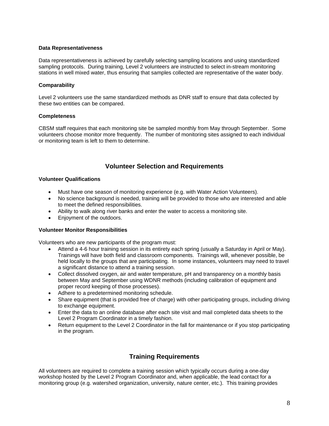#### **Data Representativeness**

Data representativeness is achieved by carefully selecting sampling locations and using standardized sampling protocols. During training, Level 2 volunteers are instructed to select in-stream monitoring stations in well mixed water, thus ensuring that samples collected are representative of the water body.

#### **Comparability**

Level 2 volunteers use the same standardized methods as DNR staff to ensure that data collected by these two entities can be compared.

#### **Completeness**

CBSM staff requires that each monitoring site be sampled monthly from May through September. Some volunteers choose monitor more frequently. The number of monitoring sites assigned to each individual or monitoring team is left to them to determine.

# **Volunteer Selection and Requirements**

#### **Volunteer Qualifications**

- Must have one season of monitoring experience (e.g. with Water Action Volunteers).
- No science background is needed, training will be provided to those who are interested and able to meet the defined responsibilities.
- Ability to walk along river banks and enter the water to access a monitoring site.
- Enjoyment of the outdoors.

#### **Volunteer Monitor Responsibilities**

Volunteers who are new participants of the program must:

- Attend a 4-6 hour training session in its entirety each spring (usually a Saturday in April or May). Trainings will have both field and classroom components. Trainings will, whenever possible, be held locally to the groups that are participating. In some instances, volunteers may need to travel a significant distance to attend a training session.
- Collect dissolved oxygen, air and water temperature, pH and transparency on a monthly basis between May and September using WDNR methods (including calibration of equipment and proper record keeping of those processes).
- Adhere to a predetermined monitoring schedule.
- Share equipment (that is provided free of charge) with other participating groups, including driving to exchange equipment.
- Enter the data to an online database after each site visit and mail completed data sheets to the Level 2 Program Coordinator in a timely fashion.
- Return equipment to the Level 2 Coordinator in the fall for maintenance or if you stop participating in the program.

# **Training Requirements**

All volunteers are required to complete a training session which typically occurs during a one-day workshop hosted by the Level 2 Program Coordinator and, when applicable, the lead contact for a monitoring group (e.g. watershed organization, university, nature center, etc.). This training provides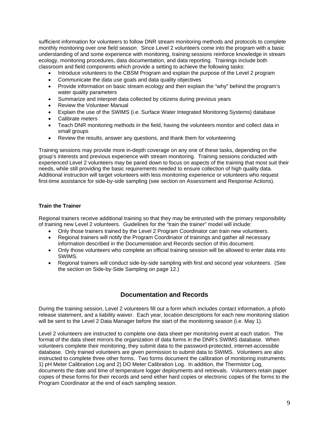sufficient information for volunteers to follow DNR stream monitoring methods and protocols to complete monthly monitoring over one field season. Since Level 2 volunteers come into the program with a basic understanding of and some experience with monitoring, training sessions reinforce knowledge in stream ecology, monitoring procedures, data documentation, and data reporting. Trainings include both classroom and field components which provide a setting to achieve the following tasks:

- Introduce volunteers to the CBSM Program and explain the purpose of the Level 2 program
- Communicate the data use goals and data quality objectives
- Provide information on basic stream ecology and then explain the "why" behind the program's water quality parameters
- Summarize and interpret data collected by citizens during previous years
- Review the Volunteer Manual
- Explain the use of the SWIMS (i.e. Surface Water Integrated Monitoring Systems) database
- Calibrate meters
- Teach DNR monitoring methods in the field, having the volunteers monitor and collect data in small groups
- Review the results, answer any questions, and thank them for volunteering

Training sessions may provide more in-depth coverage on any one of these tasks, depending on the group's interests and previous experience with stream monitoring. Training sessions conducted with experienced Level 2 volunteers may be pared down to focus on aspects of the training that most suit their needs, while still providing the basic requirements needed to ensure collection of high quality data. Additional instruction will target volunteers with less monitoring experience or volunteers who request first-time assistance for side-by-side sampling (see section on Assessment and Response Actions).

#### **Train the Trainer**

Regional trainers receive additional training so that they may be entrusted with the primary responsibility of training new Level 2 volunteers. Guidelines for the "train the trainer" model will include:

- Only those trainers trained by the Level 2 Program Coordinator can train new volunteers.
- Regional trainers will notify the Program Coordinator of trainings and gather all necessary information described in the Documentation and Records section of this document.
- Only those volunteers who complete an official training session will be allowed to enter data into SWIMS.
- Regional trainers will conduct side-by-side sampling with first and second year volunteers. (See the section on Side-by-Side Sampling on page 12.)

# **Documentation and Records**

During the training session, Level 2 volunteers fill out a form which includes contact information, a photo release statement, and a liability waiver. Each year, location descriptions for each new monitoring station will be sent to the Level 2 Data Manager before the start of the monitoring season (i.e. May 1).

Level 2 volunteers are instructed to complete one data sheet per monitoring event at each station. The format of the data sheet mirrors the organization of data forms in the DNR's SWIMS database. When volunteers complete their monitoring, they submit data to the password-protected, internet-accessible database. Only trained volunteers are given permission to submit data to SWIMS. Volunteers are also instructed to complete three other forms. Two forms document the calibration of monitoring instruments: 1) pH Meter Calibration Log and 2) DO Meter Calibration Log. In addition, the Thermistor Log, documents the date and time of temperature logger deployments and retrievals. Volunteers retain paper copies of these forms for their records and send either hard copies or electronic copies of the forms to the Program Coordinator at the end of each sampling season.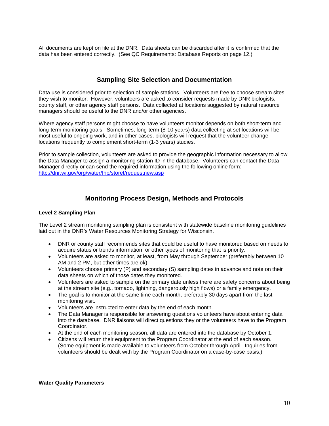All documents are kept on file at the DNR. Data sheets can be discarded after it is confirmed that the data has been entered correctly. (See QC Requirements: Database Reports on page 12.)

# **Sampling Site Selection and Documentation**

Data use is considered prior to selection of sample stations. Volunteers are free to choose stream sites they wish to monitor. However, volunteers are asked to consider requests made by DNR biologists, county staff, or other agency staff persons. Data collected at locations suggested by natural resource managers should be useful to the DNR and/or other agencies.

Where agency staff persons might choose to have volunteers monitor depends on both short-term and long-term monitoring goals. Sometimes, long-term (8-10 years) data collecting at set locations will be most useful to ongoing work, and in other cases, biologists will request that the volunteer change locations frequently to complement short-term (1-3 years) studies.

Prior to sample collection, volunteers are asked to provide the geographic information necessary to allow the Data Manager to assign a monitoring station ID in the database. Volunteers can contact the Data Manager directly or can send the required information using the following online form: <http://dnr.wi.gov/org/water/fhp/storet/requestnew.asp>

# **Monitoring Process Design, Methods and Protocols**

#### **Level 2 Sampling Plan**

The Level 2 stream monitoring sampling plan is consistent with statewide baseline monitoring guidelines laid out in the DNR's Water Resources Monitoring Strategy for Wisconsin.

- DNR or county staff recommends sites that could be useful to have monitored based on needs to acquire status or trends information, or other types of monitoring that is priority.
- Volunteers are asked to monitor, at least, from May through September (preferably between 10 AM and 2 PM, but other times are ok).
- Volunteers choose primary (P) and secondary (S) sampling dates in advance and note on their data sheets on which of those dates they monitored.
- Volunteers are asked to sample on the primary date unless there are safety concerns about being at the stream site (e.g., tornado, lightning, dangerously high flows) or a family emergency.
- The goal is to monitor at the same time each month, preferably 30 days apart from the last monitoring visit.
- Volunteers are instructed to enter data by the end of each month.
- The Data Manager is responsible for answering questions volunteers have about entering data into the database. DNR liaisons will direct questions they or the volunteers have to the Program Coordinator.
- At the end of each monitoring season, all data are entered into the database by October 1.
- Citizens will return their equipment to the Program Coordinator at the end of each season. (Some equipment is made available to volunteers from October through April. Inquiries from volunteers should be dealt with by the Program Coordinator on a case-by-case basis.)

#### **Water Quality Parameters**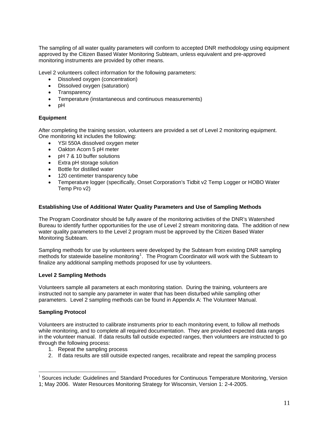The sampling of all water quality parameters will conform to accepted DNR methodology using equipment approved by the Citizen Based Water Monitoring Subteam, unless equivalent and pre-approved monitoring instruments are provided by other means.

Level 2 volunteers collect information for the following parameters:

- Dissolved oxygen (concentration)
- Dissolved oxygen (saturation)
- Transparency
- Temperature (instantaneous and continuous measurements)
- pH

#### **Equipment**

After completing the training session, volunteers are provided a set of Level 2 monitoring equipment. One monitoring kit includes the following:

- YSI 550A dissolved oxygen meter
- Oakton Acorn 5 pH meter
- pH 7 & 10 buffer solutions
- Extra pH storage solution
- Bottle for distilled water
- 120 centimeter transparency tube
- Temperature logger (specifically, Onset Corporation's Tidbit v2 Temp Logger or HOBO Water Temp Pro v2)

#### **Establishing Use of Additional Water Quality Parameters and Use of Sampling Methods**

The Program Coordinator should be fully aware of the monitoring activities of the DNR's Watershed Bureau to identify further opportunities for the use of Level 2 stream monitoring data. The addition of new water quality parameters to the Level 2 program must be approved by the Citizen Based Water Monitoring Subteam.

Sampling methods for use by volunteers were developed by the Subteam from existing DNR sampling methods for statewide baseline monitoring<sup>[1](#page-10-0)</sup>. The Program Coordinator will work with the Subteam to finalize any additional sampling methods proposed for use by volunteers.

#### **Level 2 Sampling Methods**

Volunteers sample all parameters at each monitoring station. During the training, volunteers are instructed not to sample any parameter in water that has been disturbed while sampling other parameters. Level 2 sampling methods can be found in Appendix A: The Volunteer Manual.

#### **Sampling Protocol**

 $\overline{a}$ 

Volunteers are instructed to calibrate instruments prior to each monitoring event, to follow all methods while monitoring, and to complete all required documentation. They are provided expected data ranges in the volunteer manual. If data results fall outside expected ranges, then volunteers are instructed to go through the following process:

- 1. Repeat the sampling process
- 2. If data results are still outside expected ranges, recalibrate and repeat the sampling process

<span id="page-10-0"></span><sup>&</sup>lt;sup>1</sup> Sources include: Guidelines and Standard Procedures for Continuous Temperature Monitoring, Version 1; May 2006. Water Resources Monitoring Strategy for Wisconsin, Version 1: 2-4-2005.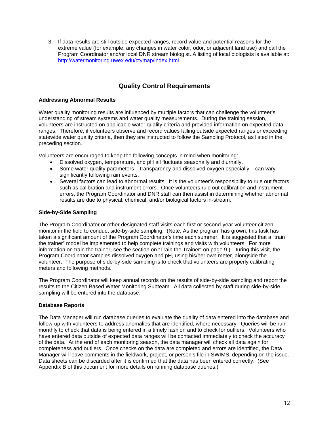3. If data results are still outside expected ranges, record value and potential reasons for the extreme value (for example, any changes in water color, odor, or adjacent land use) and call the Program Coordinator and/or local DNR stream biologist. A listing of local biologists is available at: <http://watermonitoring.uwex.edu/ctymap/index.html>

# **Quality Control Requirements**

#### **Addressing Abnormal Results**

Water quality monitoring results are influenced by multiple factors that can challenge the volunteer's understanding of stream systems and water quality measurements. During the training session, volunteers are instructed on applicable water quality criteria and provided information on expected data ranges. Therefore, if volunteers observe and record values falling outside expected ranges or exceeding statewide water quality criteria, then they are instructed to follow the Sampling Protocol, as listed in the preceding section.

Volunteers are encouraged to keep the following concepts in mind when monitoring:

- Dissolved oxygen, temperature, and pH all fluctuate seasonally and diurnally.
- Some water quality parameters transparency and dissolved oxygen especially can vary significantly following rain events.
- Several factors can lead to abnormal results. It is the volunteer's responsibility to rule out factors such as calibration and instrument errors. Once volunteers rule out calibration and instrument errors, the Program Coordinator and DNR staff can then assist in determining whether abnormal results are due to physical, chemical, and/or biological factors in-stream.

#### **Side-by-Side Sampling**

The Program Coordinator or other designated staff visits each first or second-year volunteer citizen monitor in the field to conduct side-by-side sampling. (Note: As the program has grown, this task has taken a significant amount of the Program Coordinator's time each summer. It is suggested that a "train the trainer" model be implemented to help complete trainings and visits with volunteers. For more information on train the trainer, see the section on "Train the Trainer" on page 9.) During this visit, the Program Coordinator samples dissolved oxygen and pH, using his/her own meter, alongside the volunteer. The purpose of side-by-side sampling is to check that volunteers are properly calibrating meters and following methods.

The Program Coordinator will keep annual records on the results of side-by-side sampling and report the results to the Citizen Based Water Monitoring Subteam. All data collected by staff during side-by-side sampling will be entered into the database.

#### **Database Reports**

The Data Manager will run database queries to evaluate the quality of data entered into the database and follow-up with volunteers to address anomalies that are identified, where necessary. Queries will be run monthly to check that data is being entered in a timely fashion and to check for outliers. Volunteers who have entered data outside of expected data ranges will be contacted immediately to check the accuracy of the data. At the end of each monitoring season, the data manager will check all data again for completeness and outliers. Once checks on the data are completed and errors are identified, the Data Manager will leave comments in the fieldwork, project, or person's file in SWIMS, depending on the issue. Data sheets can be discarded after it is confirmed that the data has been entered correctly. (See Appendix B of this document for more details on running database queries.)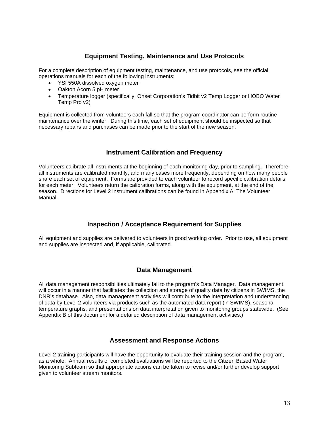# **Equipment Testing, Maintenance and Use Protocols**

For a complete description of equipment testing, maintenance, and use protocols, see the official operations manuals for each of the following instruments:

- YSI 550A dissolved oxygen meter
- Oakton Acorn 5 pH meter
- Temperature logger (specifically, Onset Corporation's Tidbit v2 Temp Logger or HOBO Water Temp Pro v2)

Equipment is collected from volunteers each fall so that the program coordinator can perform routine maintenance over the winter. During this time, each set of equipment should be inspected so that necessary repairs and purchases can be made prior to the start of the new season.

# **Instrument Calibration and Frequency**

Volunteers calibrate all instruments at the beginning of each monitoring day, prior to sampling. Therefore, all instruments are calibrated monthly, and many cases more frequently, depending on how many people share each set of equipment. Forms are provided to each volunteer to record specific calibration details for each meter. Volunteers return the calibration forms, along with the equipment, at the end of the season. Directions for Level 2 instrument calibrations can be found in Appendix A: The Volunteer Manual.

# **Inspection / Acceptance Requirement for Supplies**

All equipment and supplies are delivered to volunteers in good working order. Prior to use, all equipment and supplies are inspected and, if applicable, calibrated.

## **Data Management**

All data management responsibilities ultimately fall to the program's Data Manager. Data management will occur in a manner that facilitates the collection and storage of quality data by citizens in SWIMS, the DNR's database. Also, data management activities will contribute to the interpretation and understanding of data by Level 2 volunteers via products such as the automated data report (in SWIMS), seasonal temperature graphs, and presentations on data interpretation given to monitoring groups statewide. (See Appendix B of this document for a detailed description of data management activities.)

## **Assessment and Response Actions**

Level 2 training participants will have the opportunity to evaluate their training session and the program, as a whole. Annual results of completed evaluations will be reported to the Citizen Based Water Monitoring Subteam so that appropriate actions can be taken to revise and/or further develop support given to volunteer stream monitors.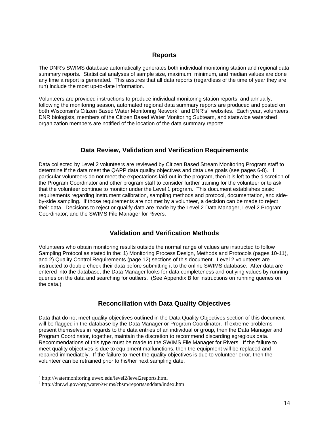# **Reports**

The DNR's SWIMS database automatically generates both individual monitoring station and regional data summary reports. Statistical analyses of sample size, maximum, minimum, and median values are done any time a report is generated. This assures that all data reports (regardless of the time of year they are run) include the most up-to-date information.

Volunteers are provided instructions to produce individual monitoring station reports, and annually, following the monitoring season, automated regional data summary reports are produced and posted on both Wisconsin's Citizen Based Water Monitoring Network<sup>[2](#page-13-0)</sup> and DNR's<sup>[3](#page-13-1)</sup> websites. Each year, volunteers, DNR biologists, members of the Citizen Based Water Monitoring Subteam, and statewide watershed organization members are notified of the location of the data summary reports.

# **Data Review, Validation and Verification Requirements**

Data collected by Level 2 volunteers are reviewed by Citizen Based Stream Monitoring Program staff to determine if the data meet the QAPP data quality objectives and data use goals (see pages 6-8). If particular volunteers do not meet the expectations laid out in the program, then it is left to the discretion of the Program Coordinator and other program staff to consider further training for the volunteer or to ask that the volunteer continue to monitor under the Level 1 program. This document establishes basic requirements regarding instrument calibration, sampling methods and protocol, documentation, and sideby-side sampling. If those requirements are not met by a volunteer, a decision can be made to reject their data. Decisions to reject or qualify data are made by the Level 2 Data Manager, Level 2 Program Coordinator, and the SWIMS File Manager for Rivers.

# **Validation and Verification Methods**

Volunteers who obtain monitoring results outside the normal range of values are instructed to follow Sampling Protocol as stated in the: 1) Monitoring Process Design, Methods and Protocols (pages 10-11), and 2) Quality Control Requirements (page 12) sections of this document. Level 2 volunteers are instructed to double check their data before submitting it to the online SWIMS database. After data are entered into the database, the Data Manager looks for data completeness and outlying values by running queries on the data and searching for outliers. (See Appendix B for instructions on running queries on the data.)

# **Reconciliation with Data Quality Objectives**

Data that do not meet quality objectives outlined in the Data Quality Objectives section of this document will be flagged in the database by the Data Manager or Program Coordinator. If extreme problems present themselves in regards to the data entries of an individual or group, then the Data Manager and Program Coordinator, together, maintain the discretion to recommend discarding egregious data. Recommendations of this type must be made to the SWIMS File Manager for Rivers. If the failure to meet quality objectives is due to equipment malfunctions, then the equipment will be replaced and repaired immediately. If the failure to meet the quality objectives is due to volunteer error, then the volunteer can be retrained prior to his/her next sampling date.

 $\overline{a}$ 

<span id="page-13-0"></span><sup>&</sup>lt;sup>2</sup> http://watermonitoring.uwex.edu/level2/level2reports.html

<span id="page-13-1"></span><sup>3</sup> http://dnr.wi.gov/org/water/swims/cbsm/reportsanddata/index.htm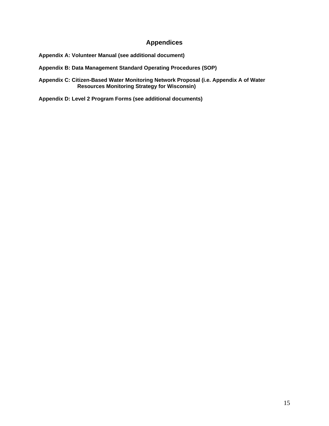# **Appendices**

**Appendix A: Volunteer Manual (see additional document)** 

**Appendix B: Data Management Standard Operating Procedures (SOP)** 

**Appendix C: Citizen-Based Water Monitoring Network Proposal (i.e. Appendix A of Water Resources Monitoring Strategy for Wisconsin)** 

**Appendix D: Level 2 Program Forms (see additional documents)**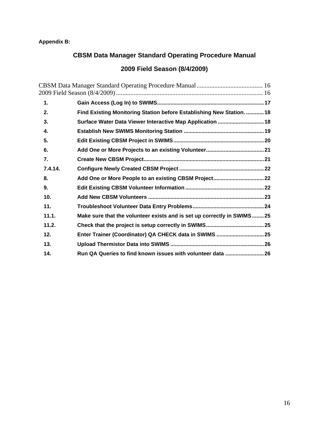# <span id="page-15-0"></span>**Appendix B:**

# **CBSM Data Manager Standard Operating Procedure Manual**

# **2009 Field Season (8/4/2009)**

| 1.               |                                                                        |  |
|------------------|------------------------------------------------------------------------|--|
| 2.               | Find Existing Monitoring Station before Establishing New Station.  18  |  |
| 3.               | Surface Water Data Viewer Interactive Map Application  18              |  |
| 4.               |                                                                        |  |
| 5.               |                                                                        |  |
| 6.               |                                                                        |  |
| $\overline{7}$ . |                                                                        |  |
| 7.4.14.          |                                                                        |  |
| 8.               |                                                                        |  |
| 9.               |                                                                        |  |
| 10.              |                                                                        |  |
| 11.              |                                                                        |  |
| 11.1.            | Make sure that the volunteer exists and is set up correctly in SWIMS25 |  |
| 11.2.            |                                                                        |  |
| 12.              |                                                                        |  |
| 13.              |                                                                        |  |
| 14.              | Run QA Queries to find known issues with volunteer data  26            |  |
|                  |                                                                        |  |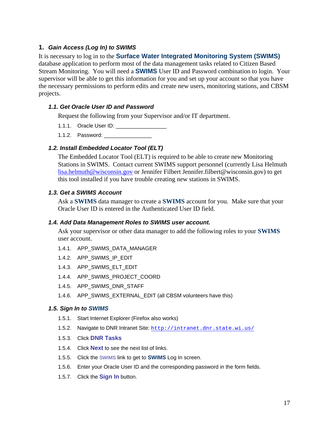# <span id="page-16-0"></span>**1.** *Gain Access (Log In) to SWIMS*

It is necessary to log in to the **Surface Water Integrated Monitoring System (SWIMS)** database application to perform most of the data management tasks related to Citizen Based Stream Monitoring. You will need a **SWIMS** User ID and Password combination to login. Your supervisor will be able to get this information for you and set up your account so that you have the necessary permissions to perform edits and create new users, monitoring stations, and CBSM projects.

# *1.1. Get Oracle User ID and Password*

Request the following from your Supervisor and/or IT department.

- 1.1.1. Oracle User ID:
- 1.1.2. Password: \_\_\_\_\_\_\_\_\_\_\_\_\_\_\_\_\_\_

## *1.2. Install Embedded Locator Tool (ELT)*

The Embedded Locator Tool (ELT) is required to be able to create new Monitoring Stations in SWIMS. Contact current SWIMS support personnel (currently Lisa Helmuth [lisa.helmuth@wisconsin.gov](mailto:lisa.helmuth@wisconsin.gov) or Jennifer Filbert Jennifer.filbert@wisconsin.gov) to get this tool installed if you have trouble creating new stations in SWIMS.

## *1.3. Get a SWIMS Account*

Ask a **SWIMS** data manager to create a **SWIMS** account for you. Make sure that your Oracle User ID is entered in the Authenticated User ID field.

## *1.4. Add Data Management Roles to SWIMS user account.*

Ask your supervisor or other data manager to add the following roles to your **SWIMS** user account.

- 1.4.1. APP\_SWIMS\_DATA\_MANAGER
- 1.4.2. APP\_SWIMS\_IP\_EDIT
- 1.4.3. APP\_SWIMS\_ELT\_EDIT
- 1.4.4. APP\_SWIMS\_PROJECT\_COORD
- 1.4.5. APP\_SWIMS\_DNR\_STAFF
- 1.4.6. APP\_SWIMS\_EXTERNAL\_EDIT (all CBSM volunteers have this)

#### *1.5. Sign In to SWIMS*

- 1.5.1. Start Internet Explorer (Firefox also works)
- 1.5.2. Navigate to DNR Intranet Site: <http://intranet.dnr.state.wi.us/>
- 1.5.3. Click **DNR Tasks**
- 1.5.4. Click **Next** to see the next list of links.
- 1.5.5. Click the SWIMS link to get to **SWIMS** Log In screen.
- 1.5.6. Enter your Oracle User ID and the corresponding password in the form fields.
- 1.5.7. Click the **Sign In** button.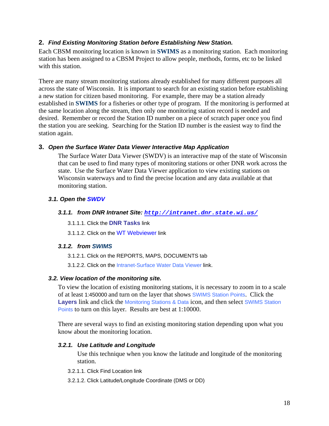# <span id="page-17-0"></span>**2.** *Find Existing Monitoring Station before Establishing New Station.*

Each CBSM monitoring location is known in **SWIMS** as a monitoring station. Each monitoring station has been assigned to a CBSM Project to allow people, methods, forms, etc to be linked with this station.

There are many stream monitoring stations already established for many different purposes all across the state of Wisconsin. It is important to search for an existing station before establishing a new station for citizen based monitoring. For example, there may be a station already established in **SWIMS** for a fisheries or other type of program. If the monitoring is performed at the same location along the stream, then only one monitoring station record is needed and desired. Remember or record the Station ID number on a piece of scratch paper once you find the station you are seeking. Searching for the Station ID number is the easiest way to find the station again.

## **3.** *Open the Surface Water Data Viewer Interactive Map Application*

The Surface Water Data Viewer (SWDV) is an interactive map of the state of Wisconsin that can be used to find many types of monitoring stations or other DNR work across the state. Use the Surface Water Data Viewer application to view existing stations on Wisconsin waterways and to find the precise location and any data available at that monitoring station.

## *3.1. Open the SWDV*

#### *3.1.1. from DNR Intranet Site: <http://intranet.dnr.state.wi.us/>*

3.1.1.1. Click the **DNR Tasks** link

3.1.1.2. Click on the WT Webviewer link

#### *3.1.2. from SWIMS*

3.1.2.1. Click on the REPORTS, MAPS, DOCUMENTS tab

3.1.2.2. Click on the Intranet-Surface Water Data Viewer link.

## *3.2. View location of the monitoring site.*

To view the location of existing monitoring stations, it is necessary to zoom in to a scale of at least 1:450000 and turn on the layer that shows SWIMS Station Points. Click the Layers link and click the Monitoring Stations & Data icon, and then select SWIMS Station Points to turn on this layer. Results are best at 1:10000.

There are several ways to find an existing monitoring station depending upon what you know about the monitoring location.

## *3.2.1. Use Latitude and Longitude*

Use this technique when you know the latitude and longitude of the monitoring station.

- 3.2.1.1. Click Find Location link
- 3.2.1.2. Click Latitude/Longitude Coordinate (DMS or DD)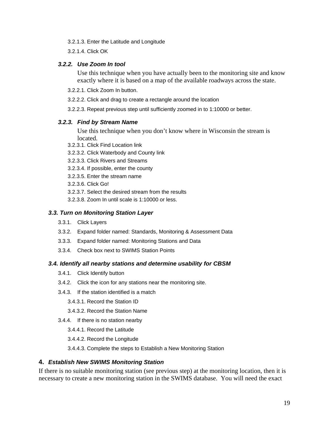- <span id="page-18-0"></span>3.2.1.3. Enter the Latitude and Longitude
- 3.2.1.4. Click OK

#### *3.2.2. Use Zoom In tool*

Use this technique when you have actually been to the monitoring site and know exactly where it is based on a map of the available roadways across the state.

- 3.2.2.1. Click Zoom In button.
- 3.2.2.2. Click and drag to create a rectangle around the location
- 3.2.2.3. Repeat previous step until sufficiently zoomed in to 1:10000 or better.

## *3.2.3. Find by Stream Name*

Use this technique when you don't know where in Wisconsin the stream is located.

- 3.2.3.1. Click Find Location link
- 3.2.3.2. Click Waterbody and County link
- 3.2.3.3. Click Rivers and Streams
- 3.2.3.4. If possible, enter the county
- 3.2.3.5. Enter the stream name
- 3.2.3.6. Click Go!
- 3.2.3.7. Select the desired stream from the results
- 3.2.3.8. Zoom In until scale is 1:10000 or less.

## *3.3. Turn on Monitoring Station Layer*

- 3.3.1. Click Layers
- 3.3.2. Expand folder named: Standards, Monitoring & Assessment Data
- 3.3.3. Expand folder named: Monitoring Stations and Data
- 3.3.4. Check box next to SWIMS Station Points

## *3.4. Identify all nearby stations and determine usability for CBSM*

- 3.4.1. Click Identify button
- 3.4.2. Click the icon for any stations near the monitoring site.
- 3.4.3. If the station identified is a match
	- 3.4.3.1. Record the Station ID
	- 3.4.3.2. Record the Station Name
- 3.4.4. If there is no station nearby
	- 3.4.4.1. Record the Latitude
	- 3.4.4.2. Record the Longitude

3.4.4.3. Complete the steps to Establish a New Monitoring Station

# **4.** *Establish New SWIMS Monitoring Station*

If there is no suitable monitoring station (see previous step) at the monitoring location, then it is necessary to create a new monitoring station in the SWIMS database. You will need the exact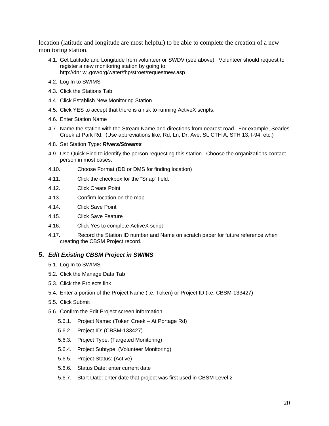<span id="page-19-0"></span>location (latitude and longitude are most helpful) to be able to complete the creation of a new monitoring station.

- 4.1. Get Latitude and Longitude from volunteer or SWDV (see above). Volunteer should request to register a new monitoring station by going to: http://dnr.wi.gov/org/water/fhp/stroet/requestnew.asp
- 4.2. Log In to SWIMS
- 4.3. Click the Stations Tab
- 4.4. Click Establish New Monitoring Station
- 4.5. Click YES to accept that there is a risk to running ActiveX scripts.
- 4.6. Enter Station Name
- 4.7. Name the station with the Stream Name and directions from nearest road. For example, Searles Creek at Park Rd. (Use abbreviations like, Rd, Ln, Dr, Ave, St, CTH A, STH 13, I-94, etc.)
- 4.8. Set Station Type: *Rivers/Streams*
- 4.9. Use Quick Find to identify the person requesting this station. Choose the organizations contact person in most cases.
- 4.10. Choose Format (DD or DMS for finding location)
- 4.11. Click the checkbox for the "Snap" field.
- 4.12. Click Create Point
- 4.13. Confirm location on the map
- 4.14. Click Save Point
- 4.15. Click Save Feature
- 4.16. Click Yes to complete ActiveX script
- 4.17. Record the Station ID number and Name on scratch paper for future reference when creating the CBSM Project record.

#### **5.** *Edit Existing CBSM Project in SWIMS*

- 5.1. Log In to SWIMS
- 5.2. Click the Manage Data Tab
- 5.3. Click the Projects link
- 5.4. Enter a portion of the Project Name (i.e. Token) or Project ID (i.e. CBSM-133427)
- 5.5. Click Submit
- 5.6. Confirm the Edit Project screen information
	- 5.6.1. Project Name: (Token Creek At Portage Rd)
	- 5.6.2. Project ID: (CBSM-133427)
	- 5.6.3. Project Type: (Targeted Monitoring)
	- 5.6.4. Project Subtype: (Volunteer Monitoring)
	- 5.6.5. Project Status: (Active)
	- 5.6.6. Status Date: enter current date
	- 5.6.7. Start Date: enter date that project was first used in CBSM Level 2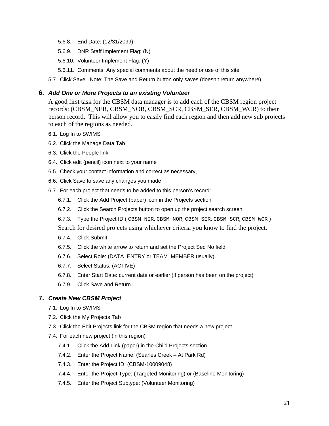- <span id="page-20-0"></span>5.6.8. End Date: (12/31/2099)
- 5.6.9. DNR Staff Implement Flag: (N)
- 5.6.10. Volunteer Implement Flag: (Y)
- 5.6.11. Comments: Any special comments about the need or use of this site
- 5.7. Click Save. Note: The Save and Return button only saves (doesn't return anywhere).

#### **6.** *Add One or More Projects to an existing Volunteer*

A good first task for the CBSM data manager is to add each of the CBSM region project records: (CBSM\_NER, CBSM\_NOR, CBSM\_SCR, CBSM\_SER, CBSM\_WCR) to their person record. This will allow you to easily find each region and then add new sub projects to each of the regions as needed.

- 6.1. Log In to SWIMS
- 6.2. Click the Manage Data Tab
- 6.3. Click the People link
- 6.4. Click edit (pencil) icon next to your name
- 6.5. Check your contact information and correct as necessary,
- 6.6. Click Save to save any changes you made
- 6.7. For each project that needs to be added to this person's record:
	- 6.7.1. Click the Add Project (paper) icon in the Projects section
	- 6.7.2. Click the Search Projects button to open up the project search screen
	- 6.7.3. Type the Project ID ( CBSM\_NER, CBSM\_NOR, CBSM\_SER, CBSM\_SCR, CBSM\_WCR )
	- Search for desired projects using whichever criteria you know to find the project.
	- 6.7.4. Click Submit
	- 6.7.5. Click the white arrow to return and set the Project Seq No field
	- 6.7.6. Select Role: (DATA\_ENTRY or TEAM\_MEMBER usually)
	- 6.7.7. Select Status: (ACTIVE)
	- 6.7.8. Enter Start Date: current date or earlier (if person has been on the project)
	- 6.7.9. Click Save and Return.

#### **7.** *Create New CBSM Project*

- 7.1. Log In to SWIMS
- 7.2. Click the My Projects Tab
- 7.3. Click the Edit Projects link for the CBSM region that needs a new project
- 7.4. For each new project (in this region)
	- 7.4.1. Click the Add Link (paper) in the Child Projects section
	- 7.4.2. Enter the Project Name: (Searles Creek At Park Rd)
	- 7.4.3. Enter the Project ID: (CBSM-10009048)
	- 7.4.4. Enter the Project Type: (Targeted Monitoring) or (Baseline Monitoring)
	- 7.4.5. Enter the Project Subtype: (Volunteer Monitoring)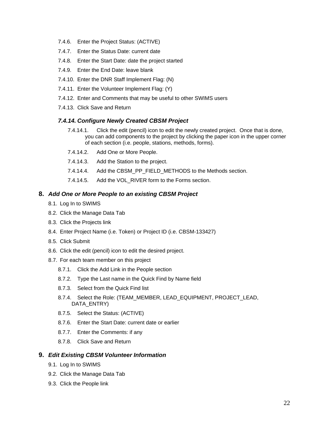- <span id="page-21-0"></span>7.4.6. Enter the Project Status: (ACTIVE)
- 7.4.7. Enter the Status Date: current date
- 7.4.8. Enter the Start Date: date the project started
- 7.4.9. Enter the End Date: leave blank
- 7.4.10. Enter the DNR Staff Implement Flag: (N)
- 7.4.11. Enter the Volunteer Implement Flag: (Y)
- 7.4.12. Enter and Comments that may be useful to other SWIMS users
- 7.4.13. Click Save and Return

#### *7.4.14. Configure Newly Created CBSM Project*

- 7.4.14.1. Click the edit (pencil) icon to edit the newly created project. Once that is done, you can add components to the project by clicking the paper icon in the upper corner of each section (i.e. people, stations, methods, forms).
- 7.4.14.2. Add One or More People.
- 7.4.14.3. Add the Station to the project.
- 7.4.14.4. Add the CBSM\_PP\_FIELD\_METHODS to the Methods section.
- 7.4.14.5. Add the VOL\_RIVER form to the Forms section.

#### **8.** *Add One or More People to an existing CBSM Project*

- 8.1. Log In to SWIMS
- 8.2. Click the Manage Data Tab
- 8.3. Click the Projects link
- 8.4. Enter Project Name (i.e. Token) or Project ID (i.e. CBSM-133427)
- 8.5. Click Submit
- 8.6. Click the edit (pencil) icon to edit the desired project.
- 8.7. For each team member on this project
	- 8.7.1. Click the Add Link in the People section
	- 8.7.2. Type the Last name in the Quick Find by Name field
	- 8.7.3. Select from the Quick Find list
	- 8.7.4. Select the Role: (TEAM\_MEMBER, LEAD\_EQUIPMENT, PROJECT\_LEAD, DATA\_ENTRY)
	- 8.7.5. Select the Status: (ACTIVE)
	- 8.7.6. Enter the Start Date: current date or earlier
	- 8.7.7. Enter the Comments: if any
	- 8.7.8. Click Save and Return

#### **9.** *Edit Existing CBSM Volunteer Information*

- 9.1. Log In to SWIMS
- 9.2. Click the Manage Data Tab
- 9.3. Click the People link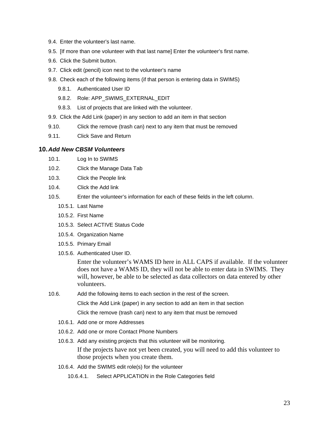- <span id="page-22-0"></span>9.4. Enter the volunteer's last name.
- 9.5. [If more than one volunteer with that last name] Enter the volunteer's first name.
- 9.6. Click the Submit button.
- 9.7. Click edit (pencil) icon next to the volunteer's name
- 9.8. Check each of the following items (if that person is entering data in SWIMS)
	- 9.8.1. Authenticated User ID
	- 9.8.2. Role: APP\_SWIMS\_EXTERNAL\_EDIT
	- 9.8.3. List of projects that are linked with the volunteer.
- 9.9. Click the Add Link (paper) in any section to add an item in that section
- 9.10. Click the remove (trash can) next to any item that must be removed
- 9.11. Click Save and Return

#### **10.** *Add New CBSM Volunteers*

- 10.1. Log In to SWIMS
- 10.2. Click the Manage Data Tab
- 10.3. Click the People link
- 10.4. Click the Add link
- 10.5. Enter the volunteer's information for each of these fields in the left column.
	- 10.5.1. Last Name
	- 10.5.2. First Name
	- 10.5.3. Select ACTIVE Status Code
	- 10.5.4. Organization Name
	- 10.5.5. Primary Email
	- 10.5.6. Authenticated User ID.

Enter the volunteer's WAMS ID here in ALL CAPS if available. If the volunteer does not have a WAMS ID, they will not be able to enter data in SWIMS. They will, however, be able to be selected as data collectors on data entered by other volunteers.

10.6. Add the following items to each section in the rest of the screen.

Click the Add Link (paper) in any section to add an item in that section

Click the remove (trash can) next to any item that must be removed

- 10.6.1. Add one or more Addresses
- 10.6.2. Add one or more Contact Phone Numbers
- 10.6.3. Add any existing projects that this volunteer will be monitoring.

If the projects have not yet been created, you will need to add this volunteer to those projects when you create them.

- 10.6.4. Add the SWIMS edit role(s) for the volunteer
	- 10.6.4.1. Select APPLICATION in the Role Categories field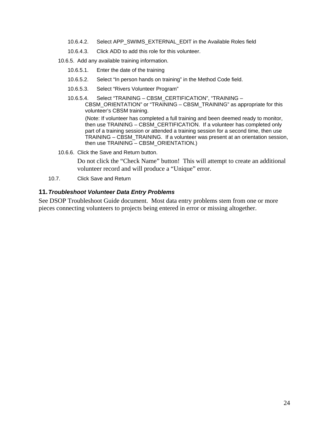- <span id="page-23-0"></span>10.6.4.2. Select APP\_SWIMS\_EXTERNAL\_EDIT in the Available Roles field
- 10.6.4.3. Click ADD to add this role for this volunteer.
- 10.6.5. Add any available training information.
	- 10.6.5.1. Enter the date of the training
	- 10.6.5.2. Select "In person hands on training" in the Method Code field.
	- 10.6.5.3. Select "Rivers Volunteer Program"
	- 10.6.5.4. Select "TRAINING CBSM\_CERTIFICATION", "TRAINING CBSM\_ORIENTATION" or "TRAINING – CBSM\_TRAINING" as appropriate for this volunteer's CBSM training.

(Note: If volunteer has completed a full training and been deemed ready to monitor, then use TRAINING – CBSM\_CERTIFICATION. If a volunteer has completed only part of a training session or attended a training session for a second time, then use TRAINING – CBSM\_TRAINING. If a volunteer was present at an orientation session, then use TRAINING – CBSM\_ORIENTATION.)

10.6.6. Click the Save and Return button.

Do not click the "Check Name" button! This will attempt to create an additional volunteer record and will produce a "Unique" error.

10.7. Click Save and Return

#### **11.** *Troubleshoot Volunteer Data Entry Problems*

See DSOP Troubleshoot Guide document. Most data entry problems stem from one or more pieces connecting volunteers to projects being entered in error or missing altogether.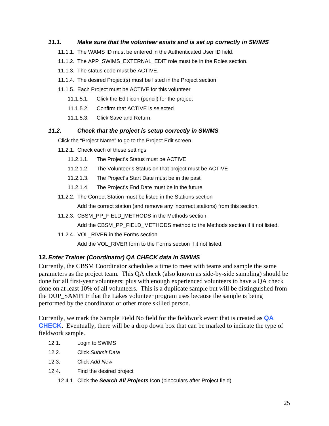# <span id="page-24-0"></span>*11.1. Make sure that the volunteer exists and is set up correctly in SWIMS*

- 11.1.1. The WAMS ID must be entered in the Authenticated User ID field.
- 11.1.2. The APP\_SWIMS\_EXTERNAL\_EDIT role must be in the Roles section.
- 11.1.3. The status code must be ACTIVE.
- 11.1.4. The desired Project(s) must be listed in the Project section
- 11.1.5. Each Project must be ACTIVE for this volunteer
	- 11.1.5.1. Click the Edit icon (pencil) for the project
	- 11.1.5.2. Confirm that ACTIVE is selected
	- 11.1.5.3. Click Save and Return.

# *11.2. Check that the project is setup correctly in SWIMS*

Click the "Project Name" to go to the Project Edit screen

- 11.2.1. Check each of these settings
	- 11.2.1.1. The Project's Status must be ACTIVE
	- 11.2.1.2. The Volunteer's Status on that project must be ACTIVE
	- 11.2.1.3. The Project's Start Date must be in the past
	- 11.2.1.4. The Project's End Date must be in the future
- 11.2.2. The Correct Station must be listed in the Stations section

Add the correct station (and remove any incorrect stations) from this section.

11.2.3. CBSM\_PP\_FIELD\_METHODS in the Methods section.

Add the CBSM\_PP\_FIELD\_METHODS method to the Methods section if it not listed.

11.2.4. VOL RIVER in the Forms section.

Add the VOL\_RIVER form to the Forms section if it not listed.

## **12.** *Enter Trainer (Coordinator) QA CHECK data in SWIMS*

Currently, the CBSM Coordinator schedules a time to meet with teams and sample the same parameters as the project team. This QA check (also known as side-by-side sampling) should be done for all first-year volunteers; plus with enough experienced volunteers to have a QA check done on at least 10% of all volunteers. This is a duplicate sample but will be distinguished from the DUP\_SAMPLE that the Lakes volunteer program uses because the sample is being performed by the coordinator or other more skilled person.

Currently, we mark the Sample Field No field for the fieldwork event that is created as **QA CHECK**. Eventually, there will be a drop down box that can be marked to indicate the type of fieldwork sample.

- 12.1. Login to SWIMS
- 12.2. Click *Submit Data*
- 12.3. Click *Add New*
- 12.4. Find the desired project
	- 12.4.1. Click the *Search All Projects* Icon (binoculars after Project field)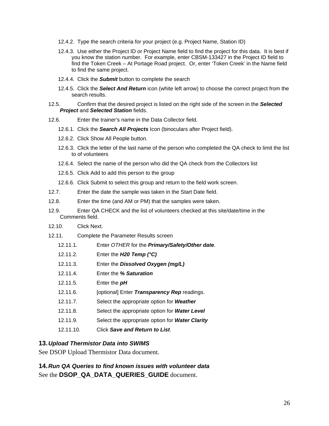- <span id="page-25-0"></span>12.4.2. Type the search criteria for your project (e.g. Project Name, Station ID)
- 12.4.3. Use either the Project ID or Project Name field to find the project for this data. It is best if you know the station number. For example, enter CBSM-133427 in the Project ID field to find the Token Creek – At Portage Road project. Or, enter 'Token Creek' in the Name field to find the same project.
- 12.4.4. Click the *Submit* button to complete the search
- 12.4.5. Click the *Select And Return* icon (white left arrow) to choose the correct project from the search results.
- 12.5. Confirm that the desired project is listed on the right side of the screen in the *Selected Project* and *Selected Station* fields.
- 12.6. Enter the trainer's name in the Data Collector field.
	- 12.6.1. Click the *Search All Projects* Icon (binoculars after Project field).
	- 12.6.2. Click Show All People button.
	- 12.6.3. Click the letter of the last name of the person who completed the QA check to limit the list to of volunteers
	- 12.6.4. Select the name of the person who did the QA check from the Collectors list
	- 12.6.5. Click Add to add this person to the group
	- 12.6.6. Click Submit to select this group and return to the field work screen.
- 12.7. Enter the date the sample was taken in the Start Date field.
- 12.8. Enter the time (and AM or PM) that the samples were taken.
- 12.9. Enter QA CHECK and the list of volunteers checked at this site/date/time in the Comments field.
- 12.10. Click Next.
- 12.11. Complete the Parameter Results screen
	- 12.11.1. Enter *OTHER* for the *Primary/Safety/Other date*.
	- 12.11.2. Enter the *H20 Temp (°C)*
	- 12.11.3. Enter the *Dissolved Oxygen (mg/L)*
	- 12.11.4. Enter the *% Saturation*
	- 12.11.5. Enter the *pH*
	- 12.11.6. [optional] Enter *Transparency Rep* readings.
	- 12.11.7. Select the appropriate option for *Weather*
	- 12.11.8. Select the appropriate option for *Water Level*
	- 12.11.9. Select the appropriate option for *Water Clarity*
	- 12.11.10. Click *Save and Return to List*.

#### **13.** *Upload Thermistor Data into SWIMS*

See DSOP Upload Thermistor Data document.

**14.** *Run QA Queries to find known issues with volunteer data*  See the **DSOP\_QA\_DATA\_QUERIES\_GUIDE** document.